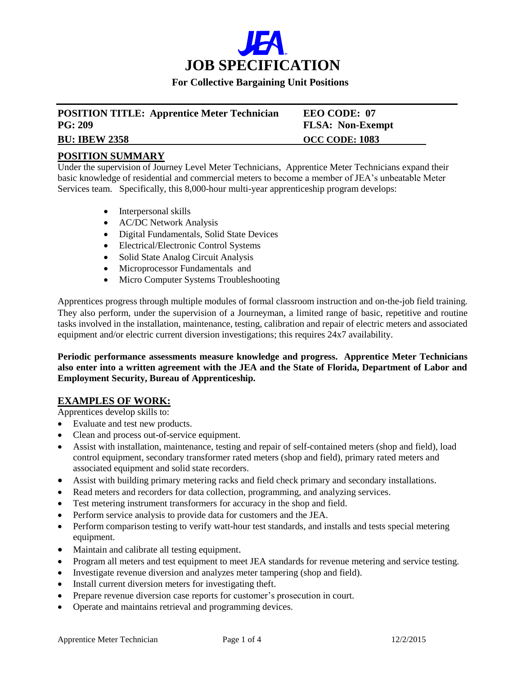

### **For Collective Bargaining Unit Positions**

| <b>POSITION TITLE: Apprentice Meter Technician</b> | EEO CODE: 07            |
|----------------------------------------------------|-------------------------|
| PG: 209                                            | <b>FLSA: Non-Exempt</b> |
| <b>BU: IBEW 2358</b>                               | <b>OCC CODE: 1083</b>   |

## **POSITION SUMMARY**

Under the supervision of Journey Level Meter Technicians, Apprentice Meter Technicians expand their basic knowledge of residential and commercial meters to become a member of JEA's unbeatable Meter Services team. Specifically, this 8,000-hour multi-year apprenticeship program develops:

- Interpersonal skills
- AC/DC Network Analysis
- Digital Fundamentals, Solid State Devices
- Electrical/Electronic Control Systems
- Solid State Analog Circuit Analysis
- Microprocessor Fundamentals and
- Micro Computer Systems Troubleshooting

Apprentices progress through multiple modules of formal classroom instruction and on-the-job field training. They also perform, under the supervision of a Journeyman, a limited range of basic, repetitive and routine tasks involved in the installation, maintenance, testing, calibration and repair of electric meters and associated equipment and/or electric current diversion investigations; this requires 24x7 availability.

**Periodic performance assessments measure knowledge and progress. Apprentice Meter Technicians also enter into a written agreement with the JEA and the State of Florida, Department of Labor and Employment Security, Bureau of Apprenticeship.**

## **EXAMPLES OF WORK:**

Apprentices develop skills to:

- Evaluate and test new products.
- Clean and process out-of-service equipment.
- Assist with installation, maintenance, testing and repair of self-contained meters (shop and field), load control equipment, secondary transformer rated meters (shop and field), primary rated meters and associated equipment and solid state recorders.
- Assist with building primary metering racks and field check primary and secondary installations.
- Read meters and recorders for data collection, programming, and analyzing services.
- Test metering instrument transformers for accuracy in the shop and field.
- Perform service analysis to provide data for customers and the JEA.
- Perform comparison testing to verify watt-hour test standards, and installs and tests special metering equipment.
- Maintain and calibrate all testing equipment.
- Program all meters and test equipment to meet JEA standards for revenue metering and service testing.
- Investigate revenue diversion and analyzes meter tampering (shop and field).
- Install current diversion meters for investigating theft.
- Prepare revenue diversion case reports for customer's prosecution in court.
- Operate and maintains retrieval and programming devices.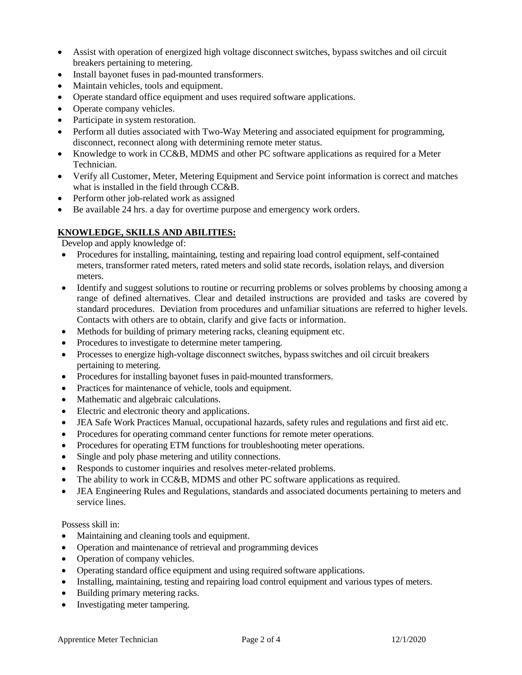- Assist with operation of energized high voltage disconnect switches, bypass switches and oil circuit breakers pertaining to metering.
- Install bayonet fuses in pad-mounted transformers.
- Maintain vehicles, tools and equipment.
- Operate standard office equipment and uses required software applications.
- Operate company vehicles.
- Participate in system restoration.
- Perform all duties associated with Two-Way Metering and associated equipment for programming, disconnect, reconnect along with determining remote meter status.
- Knowledge to work in CC&B, MDMS and other PC software applications as required for a Meter Technician.
- Verify all Customer, Meter, Metering Equipment and Service point information is correct and matches what is installed in the field through CC&B.
- Perform other job-related work as assigned
- Be available 24 hrs. a day for overtime purpose and emergency work orders.

## **KNOWLEDGE, SKILLS AND ABILITIES:**

Develop and apply knowledge of:

- Procedures for installing, maintaining, testing and repairing load control equipment, self-contained meters, transformer rated meters, rated meters and solid state records, isolation relays, and diversion meters.
- Identify and suggest solutions to routine or recurring problems or solves problems by choosing among a range of defined alternatives. Clear and detailed instructions are provided and tasks are covered by standard procedures. Deviation from procedures and unfamiliar situations are referred to higher levels. Contacts with others are to obtain, clarify and give facts or information.
- Methods for building of primary metering racks, cleaning equipment etc.
- Procedures to investigate to determine meter tampering.
- Processes to energize high-voltage disconnect switches, bypass switches and oil circuit breakers pertaining to metering.
- Procedures for installing bayonet fuses in paid-mounted transformers.
- Practices for maintenance of vehicle, tools and equipment.
- Mathematic and algebraic calculations.
- Electric and electronic theory and applications.
- JEA Safe Work Practices Manual, occupational hazards, safety rules and regulations and first aid etc.
- Procedures for operating command center functions for remote meter operations.
- Procedures for operating ETM functions for troubleshooting meter operations.
- Single and poly phase metering and utility connections.
- Responds to customer inquiries and resolves meter-related problems.
- The ability to work in CC&B, MDMS and other PC software applications as required.
- JEA Engineering Rules and Regulations, standards and associated documents pertaining to meters and service lines.

Possess skill in:

- Maintaining and cleaning tools and equipment.
- Operation and maintenance of retrieval and programming devices
- Operation of company vehicles.
- Operating standard office equipment and using required software applications.
- Installing, maintaining, testing and repairing load control equipment and various types of meters.
- Building primary metering racks.
- Investigating meter tampering.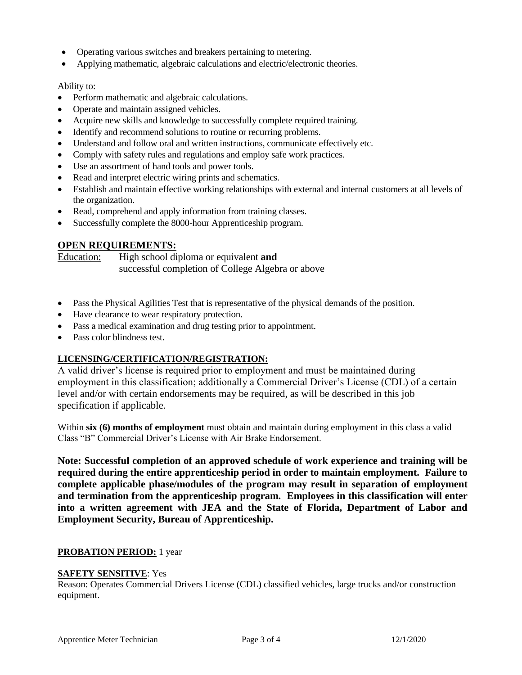- Operating various switches and breakers pertaining to metering.
- Applying mathematic, algebraic calculations and electric/electronic theories.

#### Ability to:

- Perform mathematic and algebraic calculations.
- Operate and maintain assigned vehicles.
- Acquire new skills and knowledge to successfully complete required training.
- Identify and recommend solutions to routine or recurring problems.
- Understand and follow oral and written instructions, communicate effectively etc.
- Comply with safety rules and regulations and employ safe work practices.
- Use an assortment of hand tools and power tools.
- Read and interpret electric wiring prints and schematics.
- Establish and maintain effective working relationships with external and internal customers at all levels of the organization.
- Read, comprehend and apply information from training classes.
- Successfully complete the 8000-hour Apprenticeship program.

## **OPEN REQUIREMENTS:**

Education: High school diploma or equivalent **and**  successful completion of College Algebra or above

- Pass the Physical Agilities Test that is representative of the physical demands of the position.
- Have clearance to wear respiratory protection.
- Pass a medical examination and drug testing prior to appointment.
- Pass color blindness test.

#### **LICENSING/CERTIFICATION/REGISTRATION:**

A valid driver's license is required prior to employment and must be maintained during employment in this classification; additionally a Commercial Driver's License (CDL) of a certain level and/or with certain endorsements may be required, as will be described in this job specification if applicable.

Within **six (6) months of employment** must obtain and maintain during employment in this class a valid Class "B" Commercial Driver's License with Air Brake Endorsement.

**Note: Successful completion of an approved schedule of work experience and training will be required during the entire apprenticeship period in order to maintain employment. Failure to complete applicable phase/modules of the program may result in separation of employment and termination from the apprenticeship program. Employees in this classification will enter into a written agreement with JEA and the State of Florida, Department of Labor and Employment Security, Bureau of Apprenticeship.**

## **PROBATION PERIOD:** 1 year

#### **SAFETY SENSITIVE**: Yes

Reason: Operates Commercial Drivers License (CDL) classified vehicles, large trucks and/or construction equipment.